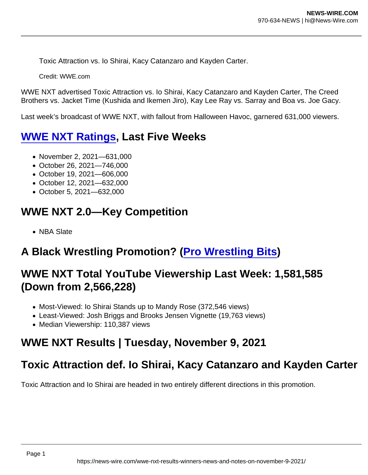Toxic Attraction vs. Io Shirai, Kacy Catanzaro and Kayden Carter.

Credit: WWE.com

WWE NXT advertised Toxic Attraction vs. Io Shirai, Kacy Catanzaro and Kayden Carter, The Creed Brothers vs. Jacket Time (Kushida and Ikemen Jiro), Kay Lee Ray vs. Sarray and Boa vs. Joe Gacy.

Last week's broadcast of WWE NXT, with fallout from Halloween Havoc, garnered 631,000 viewers.

#### [WWE NXT Ratings](https://www.wrestlinginc.com/news/2021/11/wwe-nxt-viewership-and-key-demo-rating-down-from-halloween-havoc/) , Last Five Weeks

- November 2, 2021—631,000
- October 26, 2021—746,000
- October 19, 2021—606,000
- October 12, 2021—632,000
- October 5, 2021—632,000

#### WWE NXT 2.0—Key Competition

• NBA Slate

A Black Wrestling Promotion? ( [Pro Wrestling Bits](https://www.youtube.com/watch?v=vTHL0nTMMlM&feature=emb_title) )

#### WWE NXT Total YouTube Viewership Last Week: 1,581,585 (Down from 2,566,228)

- Most-Viewed: Io Shirai Stands up to Mandy Rose (372,546 views)
- Least-Viewed: Josh Briggs and Brooks Jensen Vignette (19,763 views)
- Median Viewership: 110,387 views

# WWE NXT Results | Tuesday, November 9, 2021

# Toxic Attraction def. Io Shirai, Kacy Catanzaro and Kayden Carter

Toxic Attraction and Io Shirai are headed in two entirely different directions in this promotion.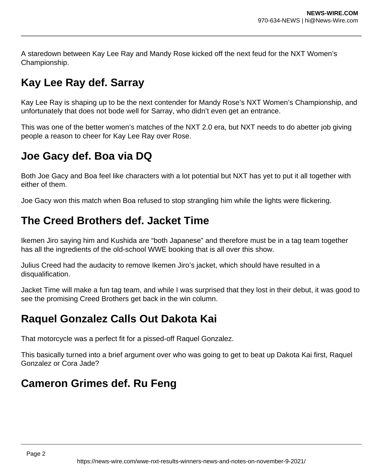A staredown between Kay Lee Ray and Mandy Rose kicked off the next feud for the NXT Women's Championship.

# **Kay Lee Ray def. Sarray**

Kay Lee Ray is shaping up to be the next contender for Mandy Rose's NXT Women's Championship, and unfortunately that does not bode well for Sarray, who didn't even get an entrance.

This was one of the better women's matches of the NXT 2.0 era, but NXT needs to do abetter job giving people a reason to cheer for Kay Lee Ray over Rose.

# **Joe Gacy def. Boa via DQ**

Both Joe Gacy and Boa feel like characters with a lot potential but NXT has yet to put it all together with either of them.

Joe Gacy won this match when Boa refused to stop strangling him while the lights were flickering.

# **The Creed Brothers def. Jacket Time**

Ikemen Jiro saying him and Kushida are "both Japanese" and therefore must be in a tag team together has all the ingredients of the old-school WWE booking that is all over this show.

Julius Creed had the audacity to remove Ikemen Jiro's jacket, which should have resulted in a disqualification.

Jacket Time will make a fun tag team, and while I was surprised that they lost in their debut, it was good to see the promising Creed Brothers get back in the win column.

### **Raquel Gonzalez Calls Out Dakota Kai**

That motorcycle was a perfect fit for a pissed-off Raquel Gonzalez.

This basically turned into a brief argument over who was going to get to beat up Dakota Kai first, Raquel Gonzalez or Cora Jade?

# **Cameron Grimes def. Ru Feng**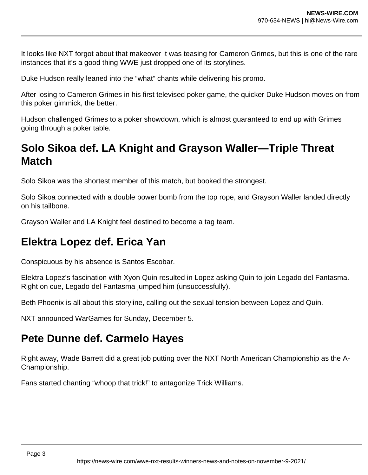It looks like NXT forgot about that makeover it was teasing for Cameron Grimes, but this is one of the rare instances that it's a good thing WWE just dropped one of its storylines.

Duke Hudson really leaned into the "what" chants while delivering his promo.

After losing to Cameron Grimes in his first televised poker game, the quicker Duke Hudson moves on from this poker gimmick, the better.

Hudson challenged Grimes to a poker showdown, which is almost guaranteed to end up with Grimes going through a poker table.

# **Solo Sikoa def. LA Knight and Grayson Waller—Triple Threat Match**

Solo Sikoa was the shortest member of this match, but booked the strongest.

Solo Sikoa connected with a double power bomb from the top rope, and Grayson Waller landed directly on his tailbone.

Grayson Waller and LA Knight feel destined to become a tag team.

#### **Elektra Lopez def. Erica Yan**

Conspicuous by his absence is Santos Escobar.

Elektra Lopez's fascination with Xyon Quin resulted in Lopez asking Quin to join Legado del Fantasma. Right on cue, Legado del Fantasma jumped him (unsuccessfully).

Beth Phoenix is all about this storyline, calling out the sexual tension between Lopez and Quin.

NXT announced WarGames for Sunday, December 5.

### **Pete Dunne def. Carmelo Hayes**

Right away, Wade Barrett did a great job putting over the NXT North American Championship as the A-Championship.

Fans started chanting "whoop that trick!" to antagonize Trick Williams.